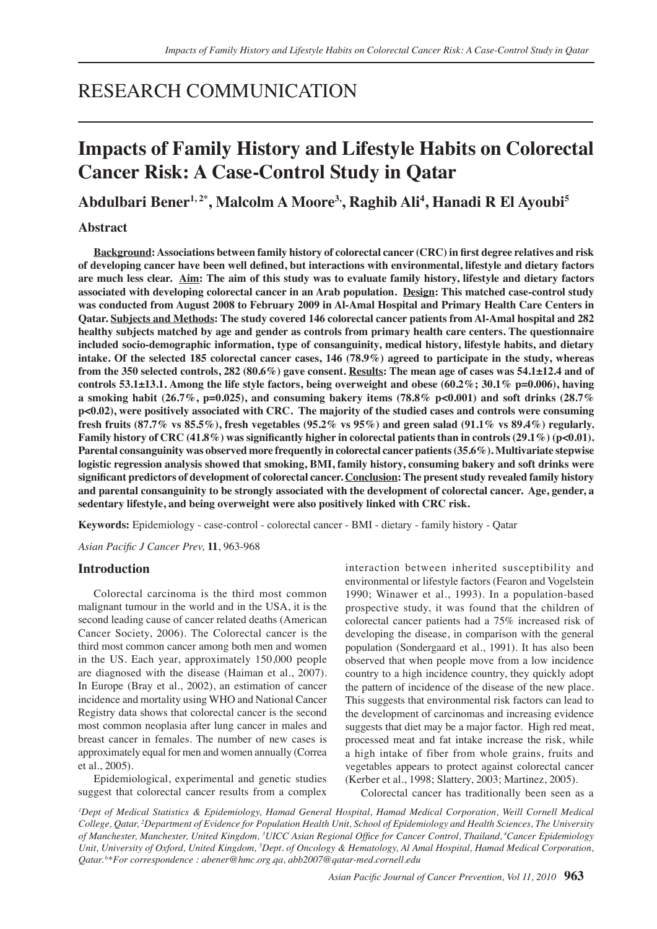## RESEARCH COMMUNICATION

# **Impacts of Family History and Lifestyle Habits on Colorectal Cancer Risk: A Case-Control Study in Qatar**

## Abdulbari Bener<sup>1,2\*</sup>, Malcolm A Moore<sup>3,</sup>, Raghib Ali<sup>4</sup>, Hanadi R El Ayoubi<sup>s</sup>

### **Abstract**

**Background: Associations between family history of colorectal cancer (CRC) in first degree relatives and risk of developing cancer have been well defined, but interactions with environmental, lifestyle and dietary factors are much less clear. Aim: The aim of this study was to evaluate family history, lifestyle and dietary factors associated with developing colorectal cancer in an Arab population. Design: This matched case-control study was conducted from August 2008 to February 2009 in Al-Amal Hospital and Primary Health Care Centers in Qatar. Subjects and Methods: The study covered 146 colorectal cancer patients from Al-Amal hospital and 282 healthy subjects matched by age and gender as controls from primary health care centers. The questionnaire included socio-demographic information, type of consanguinity, medical history, lifestyle habits, and dietary intake. Of the selected 185 colorectal cancer cases, 146 (78.9%) agreed to participate in the study, whereas from the 350 selected controls, 282 (80.6%) gave consent. Results: The mean age of cases was 54.1±12.4 and of controls 53.1±13.1. Among the life style factors, being overweight and obese (60.2%; 30.1% p=0.006), having**  a smoking habit (26.7%, p=0.025), and consuming bakery items (78.8% p<0.001) and soft drinks (28.7% **p<0.02), were positively associated with CRC. The majority of the studied cases and controls were consuming fresh fruits (87.7% vs 85.5%), fresh vegetables (95.2% vs 95%) and green salad (91.1% vs 89.4%) regularly. Family history of CRC (41.8%) was significantly higher in colorectal patients than in controls (29.1%) (p<0.01). Parental consanguinity was observed more frequently in colorectal cancer patients (35.6%). Multivariate stepwise logistic regression analysis showed that smoking, BMI, family history, consuming bakery and soft drinks were significant predictors of development of colorectal cancer. Conclusion: The present study revealed family history and parental consanguinity to be strongly associated with the development of colorectal cancer. Age, gender, a sedentary lifestyle, and being overweight were also positively linked with CRC risk.**

**Keywords:** Epidemiology - case-control - colorectal cancer - BMI - dietary - family history - Qatar

*Asian Pacific J Cancer Prev,* **11**, 963-968

## **Introduction**

Colorectal carcinoma is the third most common malignant tumour in the world and in the USA, it is the second leading cause of cancer related deaths (American Cancer Society, 2006). The Colorectal cancer is the third most common cancer among both men and women in the US. Each year, approximately 150,000 people are diagnosed with the disease (Haiman et al., 2007). In Europe (Bray et al., 2002), an estimation of cancer incidence and mortality using WHO and National Cancer Registry data shows that colorectal cancer is the second most common neoplasia after lung cancer in males and breast cancer in females. The number of new cases is approximately equal for men and women annually (Correa et al., 2005).

Epidemiological, experimental and genetic studies suggest that colorectal cancer results from a complex interaction between inherited susceptibility and environmental or lifestyle factors (Fearon and Vogelstein 1990; Winawer et al., 1993). In a population-based prospective study, it was found that the children of colorectal cancer patients had a 75% increased risk of developing the disease, in comparison with the general population (Sondergaard et al., 1991). It has also been observed that when people move from a low incidence country to a high incidence country, they quickly adopt the pattern of incidence of the disease of the new place. This suggests that environmental risk factors can lead to the development of carcinomas and increasing evidence suggests that diet may be a major factor. High red meat, processed meat and fat intake increase the risk, while a high intake of fiber from whole grains, fruits and vegetables appears to protect against colorectal cancer (Kerber et al., 1998; Slattery, 2003; Martinez, 2005).

Colorectal cancer has traditionally been seen as a

<sup>1</sup>Dept of Medical Statistics & Epidemiology, Hamad General Hospital, Hamad Medical Corporation, Weill Cornell Medical *College, Qatar, 2 Department of Evidence for Population Health Unit, School of Epidemiology and Health Sciences, The University of Manchester, Manchester, United Kingdom, <sup>3</sup> UICC Asian Regional Office for Cancer Control, Thailand,<sup>4</sup>Cancer Epidemiology*  Unit, University of Oxford, United Kingdom, <sup>5</sup>Dept. of Oncology & Hematology, Al Amal Hospital, Hamad Medical Corporation, *Qatar. b\*For correspondence : abener@hmc.org.qa, abb2007@qatar-med.cornell.edu*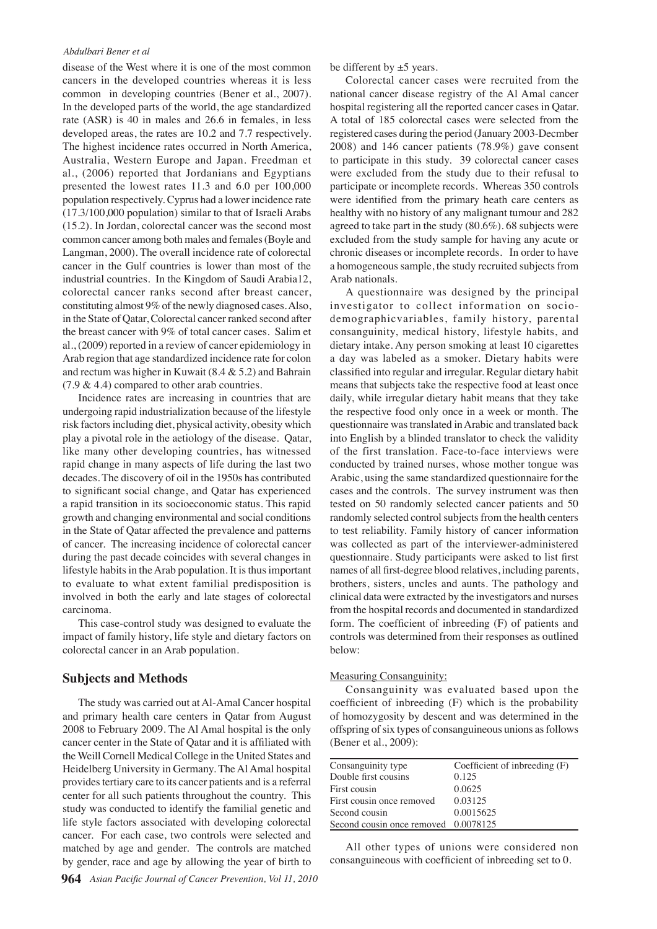#### *Abdulbari Bener et al*

disease of the West where it is one of the most common cancers in the developed countries whereas it is less common in developing countries (Bener et al., 2007). In the developed parts of the world, the age standardized rate (ASR) is 40 in males and 26.6 in females, in less developed areas, the rates are 10.2 and 7.7 respectively. The highest incidence rates occurred in North America, Australia, Western Europe and Japan. Freedman et al., (2006) reported that Jordanians and Egyptians presented the lowest rates 11.3 and 6.0 per 100,000 population respectively. Cyprus had a lower incidence rate (17.3/100,000 population) similar to that of Israeli Arabs (15.2). In Jordan, colorectal cancer was the second most common cancer among both males and females (Boyle and Langman, 2000). The overall incidence rate of colorectal cancer in the Gulf countries is lower than most of the industrial countries. In the Kingdom of Saudi Arabia12, colorectal cancer ranks second after breast cancer, constituting almost 9% of the newly diagnosed cases. Also, in the State of Qatar, Colorectal cancer ranked second after the breast cancer with 9% of total cancer cases. Salim et al., (2009) reported in a review of cancer epidemiology in Arab region that age standardized incidence rate for colon and rectum was higher in Kuwait (8.4 & 5.2) and Bahrain  $(7.9 \& 4.4)$  compared to other arab countries.

Incidence rates are increasing in countries that are undergoing rapid industrialization because of the lifestyle risk factors including diet, physical activity, obesity which play a pivotal role in the aetiology of the disease. Qatar, like many other developing countries, has witnessed rapid change in many aspects of life during the last two decades. The discovery of oil in the 1950s has contributed to significant social change, and Qatar has experienced a rapid transition in its socioeconomic status. This rapid growth and changing environmental and social conditions in the State of Qatar affected the prevalence and patterns of cancer. The increasing incidence of colorectal cancer during the past decade coincides with several changes in lifestyle habits in the Arab population. It is thus important to evaluate to what extent familial predisposition is involved in both the early and late stages of colorectal carcinoma.

This case-control study was designed to evaluate the impact of family history, life style and dietary factors on colorectal cancer in an Arab population.

## **Subjects and Methods**

The study was carried out at Al-Amal Cancer hospital and primary health care centers in Qatar from August 2008 to February 2009. The Al Amal hospital is the only cancer center in the State of Qatar and it is affiliated with the Weill Cornell Medical College in the United States and Heidelberg University in Germany. The Al Amal hospital provides tertiary care to its cancer patients and is a referral center for all such patients throughout the country. This study was conducted to identify the familial genetic and life style factors associated with developing colorectal cancer. For each case, two controls were selected and matched by age and gender. The controls are matched by gender, race and age by allowing the year of birth to be different by  $\pm 5$  years.

Colorectal cancer cases were recruited from the national cancer disease registry of the Al Amal cancer hospital registering all the reported cancer cases in Qatar. A total of 185 colorectal cases were selected from the registered cases during the period (January 2003-Decmber 2008) and 146 cancer patients (78.9%) gave consent to participate in this study. 39 colorectal cancer cases were excluded from the study due to their refusal to participate or incomplete records. Whereas 350 controls were identified from the primary heath care centers as healthy with no history of any malignant tumour and 282 agreed to take part in the study (80.6%). 68 subjects were excluded from the study sample for having any acute or chronic diseases or incomplete records. In order to have a homogeneous sample, the study recruited subjects from Arab nationals.

A questionnaire was designed by the principal investigator to collect information on sociodemographicvariables, family history, parental consanguinity, medical history, lifestyle habits, and dietary intake. Any person smoking at least 10 cigarettes a day was labeled as a smoker. Dietary habits were classified into regular and irregular. Regular dietary habit means that subjects take the respective food at least once daily, while irregular dietary habit means that they take the respective food only once in a week or month. The questionnaire was translated in Arabic and translated back into English by a blinded translator to check the validity of the first translation. Face-to-face interviews were conducted by trained nurses, whose mother tongue was Arabic, using the same standardized questionnaire for the cases and the controls. The survey instrument was then tested on 50 randomly selected cancer patients and 50 randomly selected control subjects from the health centers to test reliability. Family history of cancer information was collected as part of the interviewer-administered questionnaire. Study participants were asked to list first names of all first-degree blood relatives, including parents, brothers, sisters, uncles and aunts. The pathology and clinical data were extracted by the investigators and nurses from the hospital records and documented in standardized form. The coefficient of inbreeding (F) of patients and controls was determined from their responses as outlined below:

#### Measuring Consanguinity:

Consanguinity was evaluated based upon the coefficient of inbreeding (F) which is the probability of homozygosity by descent and was determined in the offspring of six types of consanguineous unions as follows (Bener et al., 2009):

| Consanguinity type                   | Coefficient of inbreeding (F) |
|--------------------------------------|-------------------------------|
| Double first cousins                 | 0.125                         |
| First cousin                         | 0.0625                        |
| First cousin once removed            | 0.03125                       |
| Second cousin                        | 0.0015625                     |
| Second cousin once removed 0.0078125 |                               |
|                                      |                               |

All other types of unions were considered non consanguineous with coefficient of inbreeding set to 0.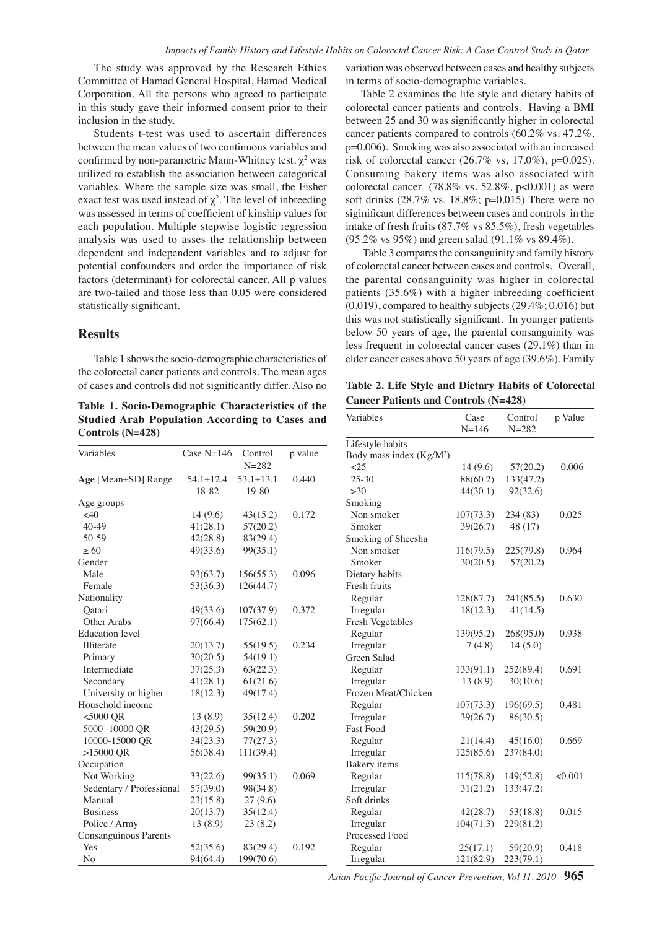The study was approved by the Research Ethics Committee of Hamad General Hospital, Hamad Medical Corporation. All the persons who agreed to participate in this study gave their informed consent prior to their inclusion in the study.

Students t-test was used to ascertain differences between the mean values of two continuous variables and confirmed by non-parametric Mann-Whitney test.  $\chi^2$  was utilized to establish the association between categorical variables. Where the sample size was small, the Fisher exact test was used instead of  $\chi^2$ . The level of inbreeding was assessed in terms of coefficient of kinship values for each population. Multiple stepwise logistic regression analysis was used to asses the relationship between dependent and independent variables and to adjust for potential confounders and order the importance of risk factors (determinant) for colorectal cancer. All p values are two-tailed and those less than 0.05 were considered statistically significant.

## **Results**

Table 1 shows the socio-demographic characteristics of the colorectal caner patients and controls. The mean ages of cases and controls did not significantly differ. Also no

**Table 1. Socio-Demographic Characteristics of the Studied Arab Population According to Cases and Controls (N=428)**

| Variables                    | Case $N=146$             | Control<br>$N = 282$     | p value |
|------------------------------|--------------------------|--------------------------|---------|
| Age [Mean±SD] Range          | $54.1 \pm 12.4$<br>18-82 | $53.1 \pm 13.1$<br>19-80 | 0.440   |
| Age groups                   |                          |                          |         |
| <40                          | 14(9.6)                  | 43(15.2)                 | 0.172   |
| $40 - 49$                    | 41(28.1)                 | 57(20.2)                 |         |
| 50-59                        | 42(28.8)                 | 83(29.4)                 |         |
| $\geq 60$                    | 49(33.6)                 | 99(35.1)                 |         |
| Gender                       |                          |                          |         |
| Male                         | 93(63.7)                 | 156(55.3)                | 0.096   |
| Female                       | 53(36.3)                 | 126(44.7)                |         |
| Nationality                  |                          |                          |         |
| Qatari                       | 49(33.6)                 | 107(37.9)                | 0.372   |
| Other Arabs                  | 97(66.4)                 | 175(62.1)                |         |
| <b>Education</b> level       |                          |                          |         |
| Illiterate                   | 20(13.7)                 | 55(19.5)                 | 0.234   |
| Primary                      | 30(20.5)                 | 54(19.1)                 |         |
| Intermediate                 | 37(25.3)                 | 63(22.3)                 |         |
| Secondary                    | 41(28.1)                 | 61(21.6)                 |         |
| University or higher         | 18(12.3)                 | 49(17.4)                 |         |
| Household income             |                          |                          |         |
| $<$ 5000 QR                  | 13(8.9)                  | 35(12.4)                 | 0.202   |
| 5000 -10000 QR               | 43(29.5)                 | 59(20.9)                 |         |
| 10000-15000 QR               | 34(23.3)                 | 77(27.3)                 |         |
| $>15000$ QR                  | 56(38.4)                 | 111(39.4)                |         |
| Occupation                   |                          |                          |         |
| Not Working                  | 33(22.6)                 | 99(35.1)                 | 0.069   |
| Sedentary / Professional     | 57(39.0)                 | 98(34.8)                 |         |
| Manual                       | 23(15.8)                 | 27(9.6)                  |         |
| <b>Business</b>              | 20(13.7)                 | 35(12.4)                 |         |
| Police / Army                | 13(8.9)                  | 23(8.2)                  |         |
| <b>Consanguinous Parents</b> |                          |                          |         |
| Yes                          | 52(35.6)                 | 83(29.4)                 | 0.192   |
| No                           | 94(64.4)                 | 199(70.6)                |         |

variation was observed between cases and healthy subjects in terms of socio-demographic variables.

Table 2 examines the life style and dietary habits of colorectal cancer patients and controls. Having a BMI between 25 and 30 was significantly higher in colorectal cancer patients compared to controls (60.2% vs. 47.2%, p=0.006). Smoking was also associated with an increased risk of colorectal cancer  $(26.7\% \text{ vs. } 17.0\%)$ , p=0.025). Consuming bakery items was also associated with colorectal cancer (78.8% vs. 52.8%, p<0.001) as were soft drinks (28.7% vs. 18.8%; p=0.015) There were no siginificant differences between cases and controls in the intake of fresh fruits (87.7% vs 85.5%), fresh vegetables (95.2% vs 95%) and green salad (91.1% vs 89.4%).

below 50 years of age, the parental consanguinity was100.0 Table 3 compares the consanguinity and family history of colorectal cancer between cases and controls. Overall, the parental consanguinity was higher in colorectal patients (35.6%) with a higher inbreeding coefficient (0.019), compared to healthy subjects (29.4%; 0.016) but this was not statistically significant. In younger patients less frequent in colorectal cancer cases (29.1%) than in elder cancer cases above 50 years of age (39.6%). Family

| Table 2. Life Style and Dietary Habits of Colorectal <sup>75.0</sup> |  |
|----------------------------------------------------------------------|--|
| <b>Cancer Patients and Controls (N=428)</b>                          |  |

| Variables                 | Case<br>$N = 146$ | Control<br>$N = 282$ | p Value | 50.0 |
|---------------------------|-------------------|----------------------|---------|------|
| Lifestyle habits          |                   |                      |         |      |
| Body mass index $(Kg/M2)$ |                   |                      |         |      |
| $\leq$ 25                 | 14(9.6)           | 57(20.2)             | 0.006   | 25.0 |
| $25 - 30$                 | 88(60.2)          | 133(47.2)            |         |      |
| $>30$                     | 44(30.1)          | 92(32.6)             |         |      |
| Smoking                   |                   |                      |         |      |
| Non smoker                | 107(73.3)         | 234 (83)             | 0.025   | 0    |
| Smoker                    | 39(26.7)          | 48 (17)              |         |      |
| Smoking of Sheesha        |                   |                      |         |      |
| Non smoker                | 116(79.5)         | 225(79.8)            | 0.964   |      |
| Smoker                    | 30(20.5)          | 57(20.2)             |         |      |
| Dietary habits            |                   |                      |         |      |
| Fresh fruits              |                   |                      |         |      |
| Regular                   | 128(87.7)         | 241(85.5)            | 0.630   |      |
| Irregular                 | 18(12.3)          | 41(14.5)             |         |      |
| Fresh Vegetables          |                   |                      |         |      |
| Regular                   | 139(95.2)         | 268(95.0)            | 0.938   |      |
| Irregular                 | 7(4.8)            | 14(5.0)              |         |      |
| Green Salad               |                   |                      |         |      |
| Regular                   | 133(91.1)         | 252(89.4)            | 0.691   |      |
| Irregular                 | 13(8.9)           | 30(10.6)             |         |      |
| Frozen Meat/Chicken       |                   |                      |         |      |
| Regular                   | 107(73.3)         | 196(69.5)            | 0.481   |      |
| Irregular                 | 39(26.7)          | 86(30.5)             |         |      |
| <b>Fast Food</b>          |                   |                      |         |      |
| Regular                   | 21(14.4)          | 45(16.0)             | 0.669   |      |
| Irregular                 | 125(85.6)         | 237(84.0)            |         |      |
| Bakery items              |                   |                      |         |      |
| Regular                   | 115(78.8)         | 149(52.8)            | < 0.001 |      |
| Irregular                 | 31(21.2)          | 133(47.2)            |         |      |
| Soft drinks               |                   |                      |         |      |
| Regular                   | 42(28.7)          | 53(18.8)             | 0.015   |      |
| Irregular                 | 104(71.3)         | 229(81.2)            |         |      |
| Processed Food            |                   |                      |         |      |
| Regular                   | 25(17.1)          | 59(20.9)             | 0.418   |      |
| Irregular                 | 121(82.9)         | 223(79.1)            |         |      |

*Asian Pacific Journal of Cancer Prevention, Vol 11, 2010* **965**

**20.3 6.3 10.1**

**46.8 56.3**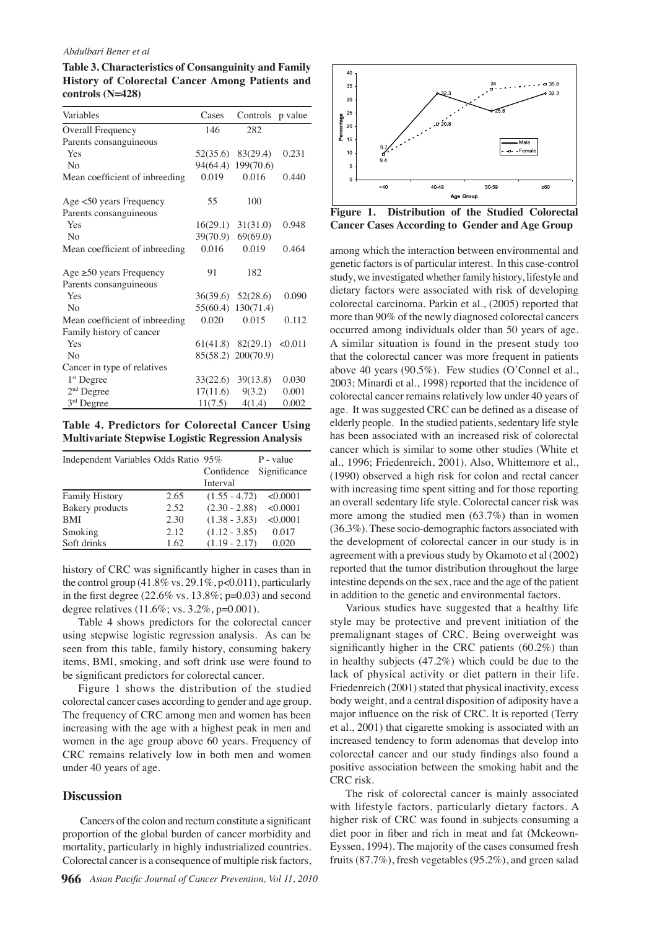#### *Abdulbari Bener et al*

**Table 3. Characteristics of Consanguinity and Family History of Colorectal Cancer Among Patients and controls (N=428)**

| Variables                      | Cases    | Controls              | p value |
|--------------------------------|----------|-----------------------|---------|
| Overall Frequency              | 146      | 282                   |         |
| Parents consanguineous         |          |                       |         |
| Yes                            |          | 52(35.6) 83(29.4)     | 0.231   |
| N <sub>0</sub>                 | 94(64.4) | 199(70.6)             |         |
| Mean coefficient of inbreeding | 0.019    | 0.016                 | 0.440   |
| Age <50 years Frequency        | 55       | 100                   |         |
| Parents consanguineous         |          |                       |         |
| Yes                            |          | $16(29.1)$ $31(31.0)$ | 0.948   |
| N <sub>0</sub>                 | 39(70.9) | 69(69.0)              |         |
| Mean coefficient of inbreeding | 0.016    | 0.019                 | 0.464   |
| Age $\geq 50$ years Frequency  | 91       | 182                   |         |
| Parents consanguineous         |          |                       |         |
| Yes                            |          | 36(39.6) 52(28.6)     | 0.090   |
| N <sub>0</sub>                 |          | 55(60.4) 130(71.4)    |         |
| Mean coefficient of inbreeding | 0.020    | 0.015                 | 0.112   |
| Family history of cancer       |          |                       |         |
| Yes                            |          | $61(41.8)$ $82(29.1)$ | <0.011  |
| N <sub>0</sub>                 |          | 85(58.2) 200(70.9)    |         |
| Cancer in type of relatives    |          |                       |         |
| $1st$ Degree                   |          | $33(22.6)$ $39(13.8)$ | 0.030   |
| $2nd$ Degree                   | 17(11.6) | 9(3.2)                | 0.001   |
| $3rd$ Degree                   | 11(7.5)  | 4(1.4)                | 0.002   |

**Table 4. Predictors for Colorectal Cancer Using Multivariate Stepwise Logistic Regression Analysis**

| Independent Variables Odds Ratio 95% |      |                 | P - value    |
|--------------------------------------|------|-----------------|--------------|
|                                      |      | Confidence      | Significance |
|                                      |      | Interval        |              |
| <b>Family History</b>                | 2.65 | $(1.55 - 4.72)$ | < 0.0001     |
| <b>Bakery</b> products               | 2.52 | $(2.30 - 2.88)$ | < 0.0001     |
| <b>BMI</b>                           | 2.30 | $(1.38 - 3.83)$ | < 0.0001     |
| Smoking                              | 2.12 | $(1.12 - 3.85)$ | 0.017        |
| Soft drinks                          | 1.62 | $(1.19 - 2.17)$ | 0.020        |

history of CRC was significantly higher in cases than in the control group (41.8% vs. 29.1%, p<0.011), particularly in the first degree  $(22.6\% \text{ vs. } 13.8\%; \text{ p=0.03})$  and second degree relatives (11.6%; vs. 3.2%, p=0.001).

Table 4 shows predictors for the colorectal cancer using stepwise logistic regression analysis. As can be seen from this table, family history, consuming bakery items, BMI, smoking, and soft drink use were found to be significant predictors for colorectal cancer.

Figure 1 shows the distribution of the studied colorectal cancer cases according to gender and age group. The frequency of CRC among men and women has been increasing with the age with a highest peak in men and women in the age group above 60 years. Frequency of CRC remains relatively low in both men and women under 40 years of age.

## **Discussion**

 Cancers of the colon and rectum constitute a significant proportion of the global burden of cancer morbidity and mortality, particularly in highly industrialized countries. Colorectal cancer is a consequence of multiple risk factors,



**Figure 1. Distribution of the Studied Colorectal Cancer Cases According to Gender and Age Group**

among which the interaction between environmental and genetic factors is of particular interest. In this case-control study, we investigated whether family history, lifestyle and dietary factors were associated with risk of developing colorectal carcinoma. Parkin et al., (2005) reported that more than 90% of the newly diagnosed colorectal cancers occurred among individuals older than 50 years of age. A similar situation is found in the present study too that the colorectal cancer was more frequent in patients above 40 years (90.5%). Few studies (O'Connel et al., 2003; Minardi et al., 1998) reported that the incidence of colorectal cancer remains relatively low under 40 years of age. It was suggested CRC can be defined as a disease of elderly people. In the studied patients, sedentary life style has been associated with an increased risk of colorectal cancer which is similar to some other studies (White et al., 1996; Friedenreich, 2001). Also, Whittemore et al., (1990) observed a high risk for colon and rectal cancer with increasing time spent sitting and for those reporting an overall sedentary life style. Colorectal cancer risk was more among the studied men (63.7%) than in women (36.3%). These socio-demographic factors associated with the development of colorectal cancer in our study is in agreement with a previous study by Okamoto et al (2002) reported that the tumor distribution throughout the large intestine depends on the sex, race and the age of the patient in addition to the genetic and environmental factors.

Various studies have suggested that a healthy life style may be protective and prevent initiation of the premalignant stages of CRC. Being overweight was significantly higher in the CRC patients (60.2%) than in healthy subjects (47.2%) which could be due to the lack of physical activity or diet pattern in their life. Friedenreich (2001) stated that physical inactivity, excess body weight, and a central disposition of adiposity have a major influence on the risk of CRC. It is reported (Terry et al., 2001) that cigarette smoking is associated with an increased tendency to form adenomas that develop into colorectal cancer and our study findings also found a positive association between the smoking habit and the CRC risk.

The risk of colorectal cancer is mainly associated with lifestyle factors, particularly dietary factors. A higher risk of CRC was found in subjects consuming a diet poor in fiber and rich in meat and fat (Mckeown-Eyssen, 1994). The majority of the cases consumed fresh fruits (87.7%), fresh vegetables (95.2%), and green salad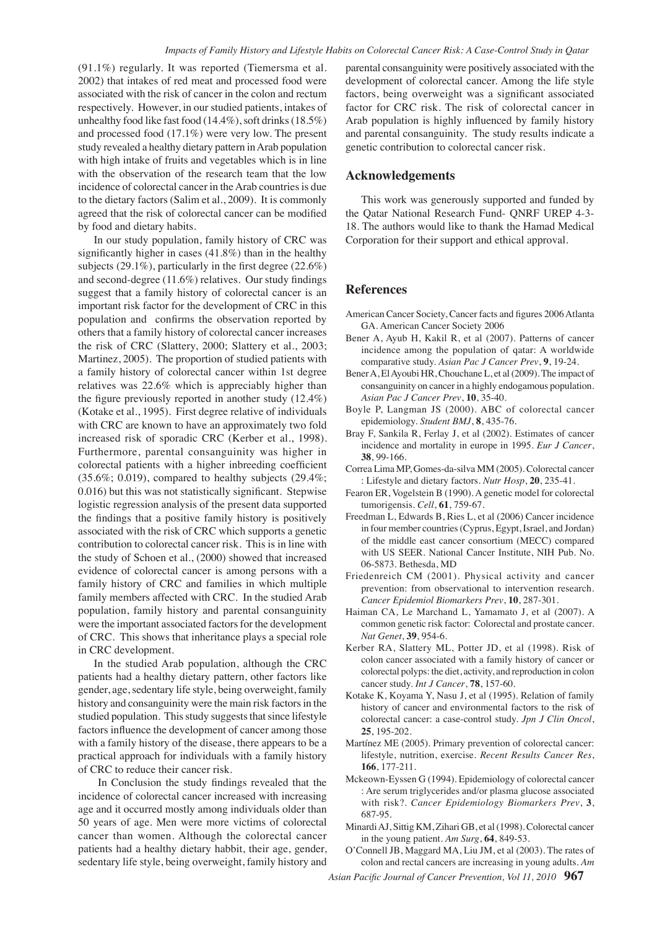(91.1%) regularly. It was reported (Tiemersma et al. 2002) that intakes of red meat and processed food were associated with the risk of cancer in the colon and rectum respectively. However, in our studied patients, intakes of unhealthy food like fast food (14.4%), soft drinks (18.5%) and processed food (17.1%) were very low. The present study revealed a healthy dietary pattern in Arab population with high intake of fruits and vegetables which is in line with the observation of the research team that the low incidence of colorectal cancer in the Arab countries is due to the dietary factors (Salim et al., 2009). It is commonly agreed that the risk of colorectal cancer can be modified by food and dietary habits.

In our study population, family history of CRC was significantly higher in cases (41.8%) than in the healthy subjects (29.1%), particularly in the first degree (22.6%) and second-degree (11.6%) relatives. Our study findings suggest that a family history of colorectal cancer is an important risk factor for the development of CRC in this population and confirms the observation reported by others that a family history of colorectal cancer increases the risk of CRC (Slattery, 2000; Slattery et al., 2003; Martinez, 2005). The proportion of studied patients with a family history of colorectal cancer within 1st degree relatives was 22.6% which is appreciably higher than the figure previously reported in another study (12.4%) (Kotake et al., 1995). First degree relative of individuals with CRC are known to have an approximately two fold increased risk of sporadic CRC (Kerber et al., 1998). Furthermore, parental consanguinity was higher in colorectal patients with a higher inbreeding coefficient  $(35.6\%; 0.019)$ , compared to healthy subjects  $(29.4\%;$ 0.016) but this was not statistically significant. Stepwise logistic regression analysis of the present data supported the findings that a positive family history is positively associated with the risk of CRC which supports a genetic contribution to colorectal cancer risk. This is in line with the study of Schoen et al., (2000) showed that increased evidence of colorectal cancer is among persons with a family history of CRC and families in which multiple family members affected with CRC. In the studied Arab population, family history and parental consanguinity were the important associated factors for the development of CRC. This shows that inheritance plays a special role in CRC development.

In the studied Arab population, although the CRC patients had a healthy dietary pattern, other factors like gender, age, sedentary life style, being overweight, family history and consanguinity were the main risk factors in the studied population. This study suggests that since lifestyle factors influence the development of cancer among those with a family history of the disease, there appears to be a practical approach for individuals with a family history of CRC to reduce their cancer risk.

 In Conclusion the study findings revealed that the incidence of colorectal cancer increased with increasing age and it occurred mostly among individuals older than 50 years of age. Men were more victims of colorectal cancer than women. Although the colorectal cancer patients had a healthy dietary habbit, their age, gender, sedentary life style, being overweight, family history and

parental consanguinity were positively associated with the development of colorectal cancer. Among the life style factors, being overweight was a significant associated factor for CRC risk. The risk of colorectal cancer in Arab population is highly influenced by family history and parental consanguinity. The study results indicate a genetic contribution to colorectal cancer risk.

## **Acknowledgements**

This work was generously supported and funded by the Qatar National Research Fund- QNRF UREP 4-3- 18. The authors would like to thank the Hamad Medical Corporation for their support and ethical approval.

## **References**

- American Cancer Society, Cancer facts and figures 2006 Atlanta GA. American Cancer Society 2006
- Bener A, Ayub H, Kakil R, et al (2007). Patterns of cancer incidence among the population of qatar: A worldwide comparative study. *Asian Pac J Cancer Prev*, **9**, 19-24.
- Bener A, El Ayoubi HR, Chouchane L, et al (2009). The impact of consanguinity on cancer in a highly endogamous population. *Asian Pac J Cancer Prev*, **10**, 35-40.
- Boyle P, Langman JS (2000). ABC of colorectal cancer epidemiology. *Student BMJ*, **8**, 435-76.
- Bray F, Sankila R, Ferlay J, et al (2002). Estimates of cancer incidence and mortality in europe in 1995. *Eur J Cancer*, **38**, 99-166.
- Correa Lima MP, Gomes-da-silva MM (2005). Colorectal cancer : Lifestyle and dietary factors. *Nutr Hosp*, **20**, 235-41.
- Fearon ER, Vogelstein B (1990). A genetic model for colorectal tumorigensis. *Cell*, **61**, 759-67.
- Freedman L, Edwards B, Ries L, et al (2006) Cancer incidence in four member countries (Cyprus, Egypt, Israel, and Jordan) of the middle east cancer consortium (MECC) compared with US SEER. National Cancer Institute, NIH Pub. No. 06-5873. Bethesda, MD
- Friedenreich CM (2001). Physical activity and cancer prevention: from observational to intervention research. *Cancer Epidemiol Biomarkers Prev*, **10**, 287-301.
- Haiman CA, Le Marchand L, Yamamato J, et al (2007). A common genetic risk factor: Colorectal and prostate cancer. *Nat Genet*, **39**, 954-6.
- Kerber RA, Slattery ML, Potter JD, et al (1998). Risk of colon cancer associated with a family history of cancer or colorectal polyps: the diet, activity, and reproduction in colon cancer study. *Int J Cancer*, **78**, 157-60.
- Kotake K, Koyama Y, Nasu J, et al (1995). Relation of family history of cancer and environmental factors to the risk of colorectal cancer: a case-control study. *Jpn J Clin Oncol*, **25**, 195-202.
- Martínez ME (2005). Primary prevention of colorectal cancer: lifestyle, nutrition, exercise. *Recent Results Cancer Res*, **166**, 177-211.
- Mckeown-Eyssen G (1994). Epidemiology of colorectal cancer : Are serum triglycerides and/or plasma glucose associated with risk?. *Cancer Epidemiology Biomarkers Prev*, **3**, 687-95.
- Minardi AJ, Sittig KM, Zihari GB, et al (1998). Colorectal cancer in the young patient. *Am Surg*, **64**, 849-53.
- O'Connell JB, Maggard MA, Liu JM, et al (2003). The rates of colon and rectal cancers are increasing in young adults. *Am*
- *Asian Pacific Journal of Cancer Prevention, Vol 11, 2010* **967**